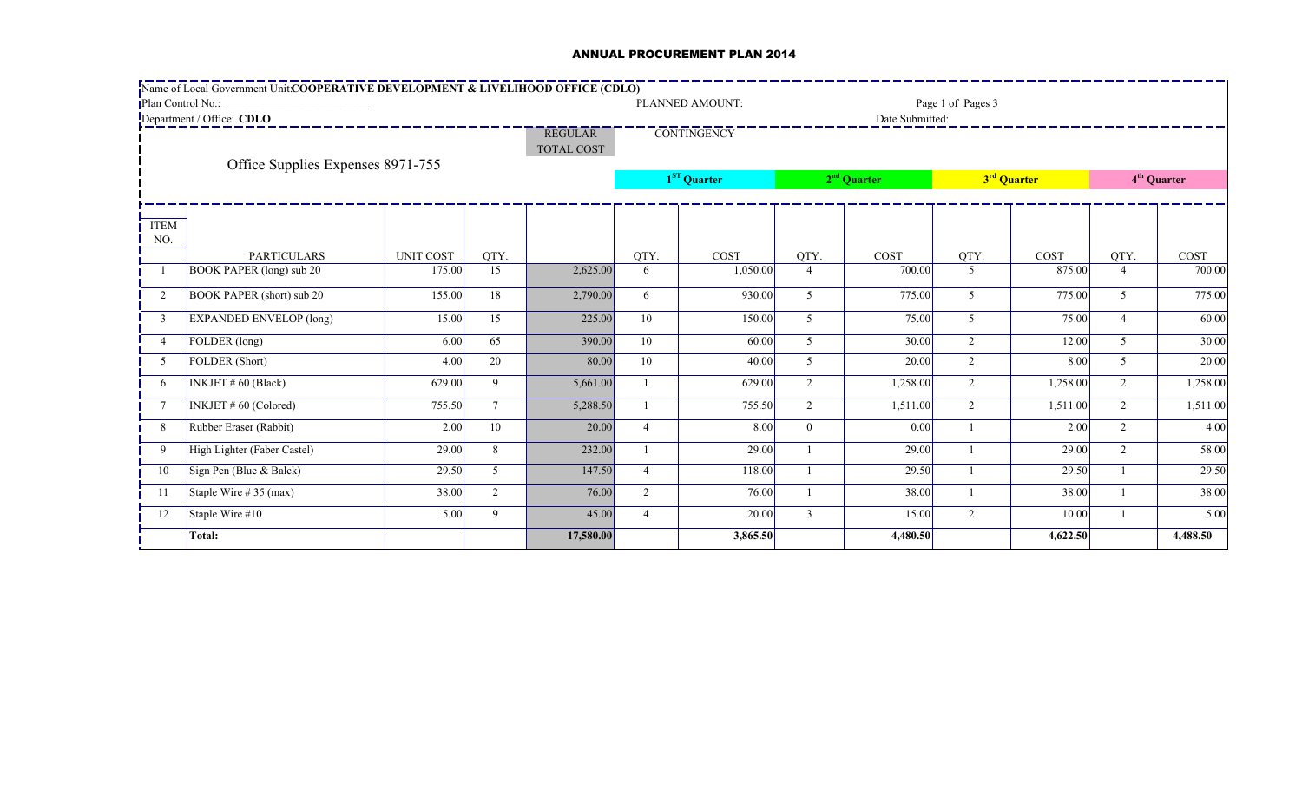## ANNUAL PROCUREMENT PLAN 2014

|                           | Name of Local Government Unit:COOPERATIVE DEVELOPMENT & LIVELIHOOD OFFICE (CDLO) |                  |                 |                   |                    |          |                |                 |                         |          |                         |          |
|---------------------------|----------------------------------------------------------------------------------|------------------|-----------------|-------------------|--------------------|----------|----------------|-----------------|-------------------------|----------|-------------------------|----------|
| Plan Control No.:         |                                                                                  |                  |                 | PLANNED AMOUNT:   | Page 1 of Pages 3  |          |                |                 |                         |          |                         |          |
| Department / Office: CDLO |                                                                                  |                  |                 | <b>REGULAR</b>    | <b>CONTINGENCY</b> |          |                | Date Submitted: |                         |          |                         |          |
|                           |                                                                                  |                  |                 | <b>TOTAL COST</b> |                    |          |                |                 |                         |          |                         |          |
|                           | Office Supplies Expenses 8971-755                                                |                  |                 |                   |                    |          |                |                 |                         |          |                         |          |
|                           |                                                                                  |                  |                 |                   | $1ST$ Quarter      |          | $2nd$ Quarter  |                 | 3 <sup>rd</sup> Quarter |          | 4 <sup>th</sup> Quarter |          |
|                           |                                                                                  |                  |                 |                   |                    |          |                |                 |                         |          |                         |          |
| <b>ITEM</b>               |                                                                                  |                  |                 |                   |                    |          |                |                 |                         |          |                         |          |
| NO.                       | <b>PARTICULARS</b>                                                               | <b>UNIT COST</b> | QTY.            |                   | QTY.               | COST     | QTY.           | COST            | QTY.                    | COST     | QTY.                    | COST     |
|                           | <b>BOOK PAPER (long) sub 20</b>                                                  | 175.00           | 15              | 2,625.00          | 6                  | 1,050.00 | $\overline{4}$ | 700.00          | $\mathfrak{S}$          | 875.00   | $\overline{4}$          | 700.00   |
| 2                         | <b>BOOK PAPER (short) sub 20</b>                                                 | 155.00           | 18              | 2,790.00          | 6                  | 930.00   | 5              | 775.00          | $\mathcal{F}$           | 775.00   | 5                       | 775.00   |
| 3                         | <b>EXPANDED ENVELOP</b> (long)                                                   | 15.00            | 15              | 225.00            | 10                 | 150.00   | 5              | 75.00           | 5                       | 75.00    | $\overline{4}$          | 60.00    |
| $\overline{4}$            | FOLDER (long)                                                                    | 6.00             | 65              | 390.00            | 10                 | 60.00    | 5              | 30.00           | $\overline{2}$          | 12.00    | 5                       | 30.00    |
| 5                         | FOLDER (Short)                                                                   | 4.00             | 20              | 80.00             | 10                 | 40.00    | 5              | 20.00           | $\overline{2}$          | 8.00     | 5                       | 20.00    |
| 6                         | INKJET #60 (Black)                                                               | 629.00           | 9               | 5,661.00          |                    | 629.00   | $\overline{2}$ | 1,258.00        | $\overline{2}$          | 1,258.00 | $\overline{2}$          | 1,258.00 |
| $\overline{7}$            | <b>INKJET #60 (Colored)</b>                                                      | 755.50           | $7\overline{ }$ | 5,288.50          |                    | 755.50   | $\overline{2}$ | 1,511.00        | $\overline{2}$          | 1,511.00 | 2                       | 1,511.00 |
| 8                         | Rubber Eraser (Rabbit)                                                           | 2.00             | 10              | 20.00             | $\overline{4}$     | 8.00     | $\overline{0}$ | 0.00            |                         | 2.00     | 2                       | 4.00     |
| 9                         | High Lighter (Faber Castel)                                                      | 29.00            | 8               | 232.00            |                    | 29.00    |                | 29.00           |                         | 29.00    | 2                       | 58.00    |
| 10                        | Sign Pen (Blue & Balck)                                                          | 29.50            | 5               | 147.50            | 4                  | 118.00   |                | 29.50           |                         | 29.50    |                         | 29.50    |
| -11                       | Staple Wire $# 35$ (max)                                                         | 38.00            | 2               | 76.00             | $\overline{2}$     | 76.00    |                | 38.00           |                         | 38.00    |                         | 38.00    |
| 12                        | Staple Wire #10                                                                  | 5.00             | 9               | 45.00             | 4                  | 20.00    | $\overline{3}$ | 15.00           | $\overline{2}$          | 10.00    |                         | 5.00     |
|                           | Total:                                                                           |                  |                 | 17,580.00         |                    | 3,865.50 |                | 4,480.50        |                         | 4,622.50 |                         | 4,488.50 |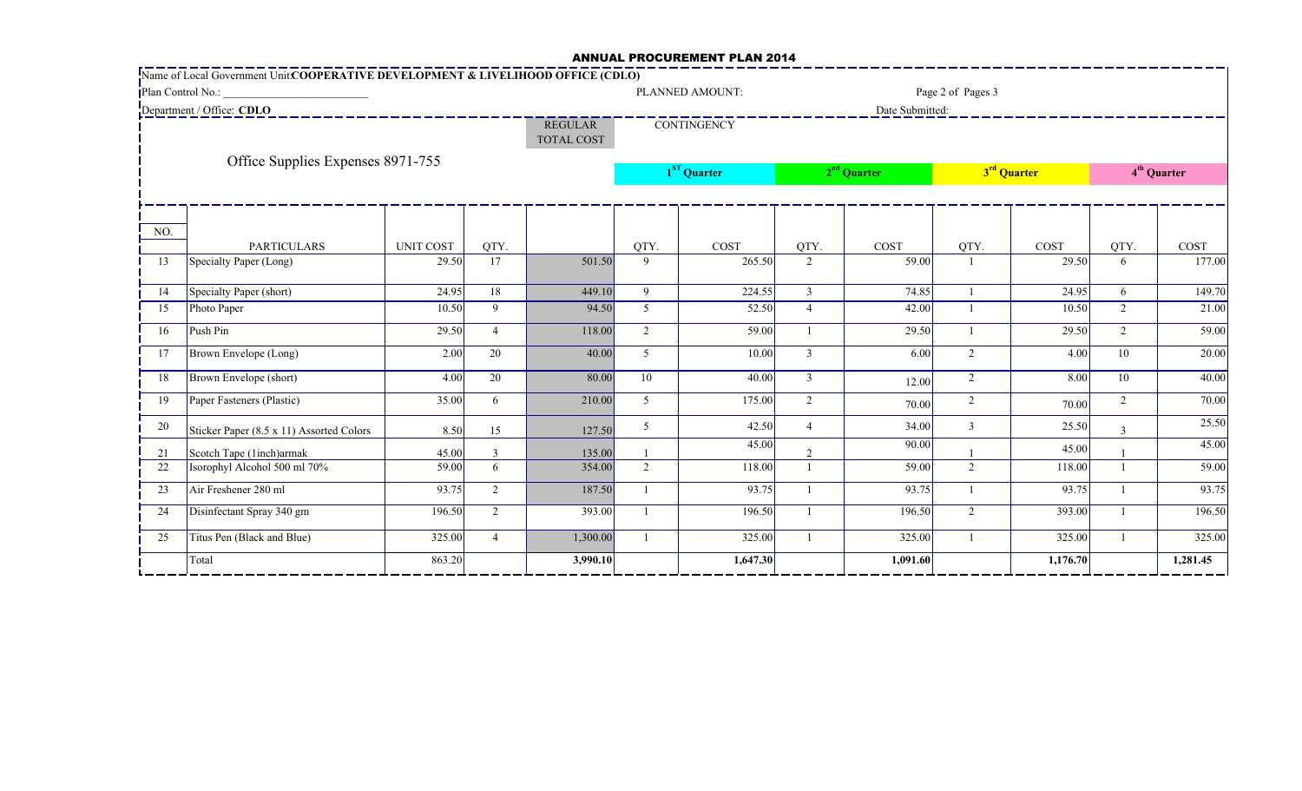## ANNUAL PROCUREMENT PLAN 2014

|                                   | Name of Local Government Unit: COOPERATIVE DEVELOPMENT & LIVELIHOOD OFFICE (CDLO) |                                     |                |                    |                |                 |                        |                 |                         |               |                         |                |  |
|-----------------------------------|-----------------------------------------------------------------------------------|-------------------------------------|----------------|--------------------|----------------|-----------------|------------------------|-----------------|-------------------------|---------------|-------------------------|----------------|--|
| Plan Control No.:                 |                                                                                   |                                     |                |                    |                | PLANNED AMOUNT: | Page 2 of Pages 3      |                 |                         |               |                         |                |  |
|                                   | Department / Office: CDLO                                                         |                                     |                |                    |                |                 |                        | Date Submitted: |                         |               |                         |                |  |
|                                   |                                                                                   | <b>REGULAR</b><br><b>TOTAL COST</b> |                | <b>CONTINGENCY</b> |                |                 |                        |                 |                         |               |                         |                |  |
| Office Supplies Expenses 8971-755 |                                                                                   |                                     |                |                    | $1ST$ Quarter  |                 | $2nd$ Quarter          |                 | 3 <sup>rd</sup> Quarter |               | 4 <sup>th</sup> Quarter |                |  |
| NO.                               |                                                                                   |                                     |                |                    |                |                 |                        |                 |                         |               |                         |                |  |
| 13                                | <b>PARTICULARS</b><br>Specialty Paper (Long)                                      | <b>UNIT COST</b><br>29.50           | QTY.<br>17     | 501.50             | QTY.<br>9      | COST<br>265.50  | QTY.<br>$\overline{2}$ | COST<br>59.00   | QTY.                    | COST<br>29.50 | QTY.<br>6               | COST<br>177.00 |  |
|                                   |                                                                                   |                                     |                |                    |                |                 |                        |                 |                         |               |                         |                |  |
| 14                                | Specialty Paper (short)                                                           | 24.95                               | 18             | 449.10             | $\mathbf{Q}$   | 224.55          | $\overline{3}$         | 74.85           |                         | 24.95         | 6                       | 149.70         |  |
| 15                                | Photo Paper                                                                       | 10.50                               | 9              | 94.50              | $\mathcal{F}$  | 52.50           | $\overline{4}$         | 42.00           |                         | 10.50         | 2                       | 21.00          |  |
| 16                                | Push Pin                                                                          | 29.50                               | $\overline{4}$ | 118.00             | $\overline{2}$ | 59.00           |                        | 29.50           |                         | 29.50         | 2                       | 59.00          |  |
| 17                                | Brown Envelope (Long)                                                             | 2.00                                | 20             | 40.00              | 5 <sup>1</sup> | 10.00           | $\overline{3}$         | 6.00            | $\overline{2}$          | 4.00          | 10                      | 20.00          |  |
| 18                                | Brown Envelope (short)                                                            | 4.00                                | 20             | 80.00              | 10             | 40.00           | $\mathfrak{Z}$         | 12.00           | $\overline{2}$          | 8.00          | 10                      | 40.00          |  |
| 19                                | Paper Fasteners (Plastic)                                                         | 35.00                               | 6              | 210.00             | 5 <sup>5</sup> | 175.00          | $\overline{2}$         | 70.00           | $\overline{2}$          | 70.00         | $\overline{2}$          | 70.00          |  |
| 20                                | Sticker Paper (8.5 x 11) Assorted Colors                                          | 8.50                                | 15             | 127.50             | 5              | 42.50           | $\overline{4}$         | 34.00           | 3                       | 25.50         | $\overline{3}$          | 25.50          |  |
| 21                                | Scotch Tape (1inch)armak                                                          | 45.00                               | 3              | 135.00             |                | 45.00           | 2                      | 90.00           |                         | 45.00         |                         | 45.00          |  |
| 22                                | Isorophyl Alcohol 500 ml 70%                                                      | 59.00                               | 6              | 354.00             | $\overline{2}$ | 118.00          |                        | 59.00           | $\overline{2}$          | 118.00        |                         | 59.00          |  |
| 23                                | Air Freshener 280 ml                                                              | 93.75                               | 2              | 187.50             |                | 93.75           |                        | 93.75           |                         | 93.75         |                         | 93.75          |  |
| 24                                | Disinfectant Spray 340 gm                                                         | 196.50                              | 2              | 393.00             |                | 196.50          |                        | 196.50          | $\overline{2}$          | 393.00        |                         | 196.50         |  |
| 25                                | Titus Pen (Black and Blue)                                                        | 325.00                              | $\overline{4}$ | 1,300.00           |                | 325.00          |                        | 325.00          |                         | 325.00        |                         | 325.00         |  |
|                                   | Total                                                                             | 863.20                              |                | 3,990.10           |                | 1,647.30        |                        | 1,091.60        |                         | 1,176.70      |                         | 1,281.45       |  |